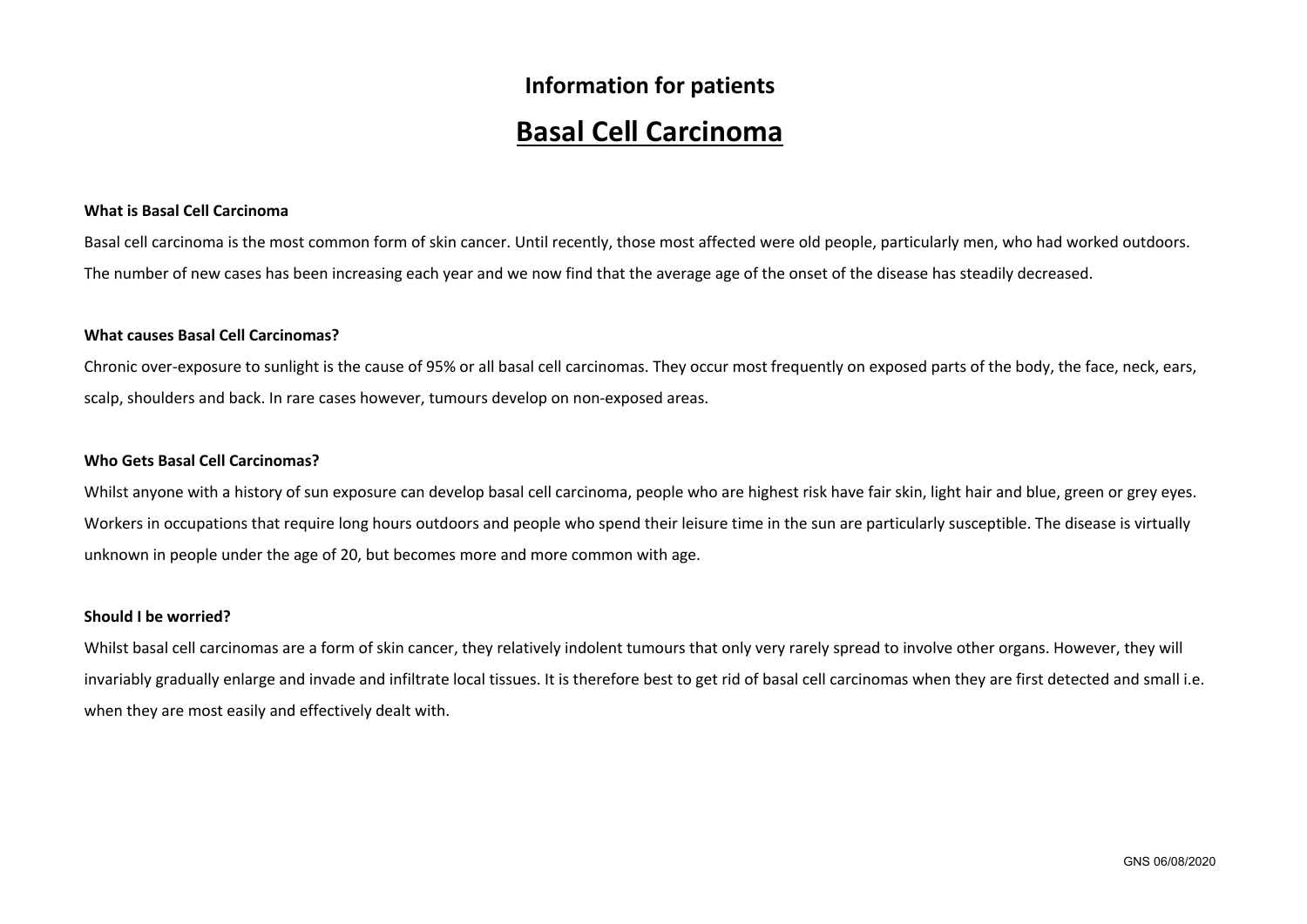# **Information for patients Basal Cell Carcinoma**

# **What is Basal Cell Carcinoma**

Basal cell carcinoma is the most common form of skin cancer. Until recently, those most affected were old people, particularly men, who had worked outdoors. The number of new cases has been increasing each year and we now find that the average age of the onset of the disease has steadily decreased.

## **What causes Basal Cell Carcinomas?**

Chronic over-exposure to sunlight is the cause of 95% or all basal cell carcinomas. They occur most frequently on exposed parts of the body, the face, neck, ears, scalp, shoulders and back. In rare cases however, tumours develop on non-exposed areas.

## **Who Gets Basal Cell Carcinomas?**

Whilst anyone with a history of sun exposure can develop basal cell carcinoma, people who are highest risk have fair skin, light hair and blue, green or grey eyes. Workers in occupations that require long hours outdoors and people who spend their leisure time in the sun are particularly susceptible. The disease is virtually unknown in people under the age of 20, but becomes more and more common with age.

#### **Should I be worried?**

Whilst basal cell carcinomas are a form of skin cancer, they relatively indolent tumours that only very rarely spread to involve other organs. However, they will invariably gradually enlarge and invade and infiltrate local tissues. It is therefore best to get rid of basal cell carcinomas when they are first detected and small i.e. when they are most easily and effectively dealt with.